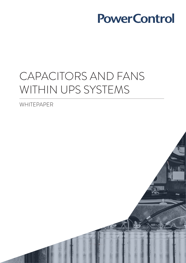# CAPACITORS AND FANS WITHIN UPS SYSTEMS

WHITEPAPER

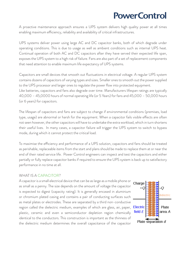A proactive maintenance approach ensures a UPS system delivers high quality power at all times enabling maximum efficiency, reliability and availability of critical infrastructures.

UPS systems deliver power using large AC and DC capacitor banks, both of which degrade under operating conditions. This is due to usage as well as ambient conditions such as internal UPS heat. Continual operation of both AC and DC capacitors after they have served their expected life span, exposes the UPS system to a high risk of failure. Fans are also part of a set of replacement components that need attention to enable maximum life expectancy of UPS systems.

Capacitors are small devices that smooth out fluctuations in electrical voltage. A regular UPS system contains dozens of capacitors of varying types and sizes. Smaller ones to smooth out the power supplied to the UPS processor and larger ones to regulate the power flow into protected equipment. Like batteries, capacitors and fans also degrade over time. Manufacturers lifespan ratings are typically 40,000 – 45,0000 hours of normal operating life (or 5 Years) for fans and 45,000 – 50,000 hours (or 6 years) for capacitors.

The lifespan of capacitors and fans are subject to change if environmental conditions (premises, load type, usage) are abnormal or harsh for the equipment. When a capacitor fails visible effects are often not seen however, the other capacitors will have to undertake the extra workload, which in turn shortens their useful lives. In many cases, a capacitor failure will trigger the UPS system to switch to bypass mode, during which it cannot protect the critical load.

To maximise the efficiency and performance of a UPS solution, capacitors and fans should be treated as perishable, replaceable items from the start and plans should be made to replace them at or near the end of their rated service life. Power Control engineers can inspect and test the capacitors and either partially or fully replace capacitor banks if required to ensure the UPS system is back up to satisfactory performance in no time at all.

#### WHAT IS A CAPACITOR?

A capacitor is a small electrical device that can be as large as a mobile phone or as small as a penny. The size depends on the amount of voltage the capacitor is expected to digest (capacity rating). It is generally encased in aluminium or chromium plated casing and contains a pair of conducting surfaces such as metal plates or electrodes. These are separated by a third non-conductive region called the dielectric medium, examples of which are glass, air, paper, plastic, ceramic and even a semiconductor depletion region chemically identical to the conductors. This construction is important as the thinness of the dielectric medium determines the overall capacitance of the capacitor

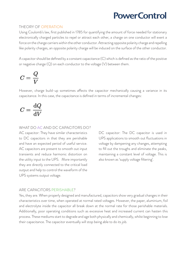### THEORY OF OPERATION

Using Coulomb's law, first published in 1785 for quantifying the amount of force needed for stationary electronically charged particles to repel or attract each other, a charge on one conductor will exert a force on the charge carriers within the other conductor. Attracting opposite polarity charge and repelling like polarity charges, an opposite polarity charge will be induced on the surface of the other conductor.

A capacitor should be defined by a constant capacitance (C) which is defined as the ratio of the positive or negative charge (Q) on each conductor to the voltage (V) between them.

$$
C=\frac{Q}{V}
$$

However, charge build-up sometimes affects the capacitor mechanically causing a variance in its capacitance. In this case, the capacitance is defined in terms of incremental changes:

$$
C=\frac{\mathrm{d} Q}{\mathrm{d} V}
$$

#### WHAT DO AC AND DC CAPACITORS DO?

AC capacitor: They have similar characteristics to DC capacitors in that they are perishable and have an expected period of useful service. AC capacitors are present to smooth out input transients and reduce harmonic distortion on the utility input to the UPS. More importantly they are directly connected to the critical load output and help to control the waveform of the UPS systems output voltage.

DC capacitor: The DC capacitor is used in UPS applications to smooth out fluctuations in voltage by dampening any changes, attempting to fill out the troughs and eliminate the peaks, maintaining a constant level of voltage. This is also known as 'supply voltage filtering'.

#### ARE CAPACITORS PERISHABLE?

Yes, they are. When properly designed and manufactured, capacitors show very gradual changes in their characteristics over time, when operated at normal rated voltages. However, the paper, aluminium, foil and electrolyte inside the capacitor all break down at the normal rate for those perishable materials. Additionally, poor operating conditions such as excessive heat and increased current can hasten this process. These mediums start to degrade and age both physically and chemically, whilst beginning to lose their capacitance. The capacitor eventually will stop being able to do its job.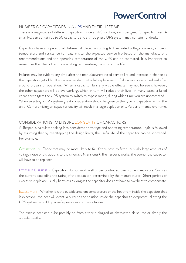#### NUMBER OF CAPACITORS IN A UPS AND THEIR LIFETIME

There is a magnitude of different capacitors inside a UPS solution, each designed for specific roles. A small PC can contain up to 50 capacitors and a three phase UPS system may contain hundreds.

Capacitors have an operational lifetime calculated according to their rated voltage, current, ambient temperature and resistance to heat. In situ, the expected service life based on the manufacturer's recommendations and the operating temperature of the UPS can be estimated. It is important to remember that the hotter the operating temperature, the shorter the life.

Failures may be evident any time after the manufacturers rated service life and increase in chance as the capacitors get older. It is recommended that a full replacement of all capacitors is scheduled after around 6 years of operation. When a capacitor fails any visible effects may not be seen, however, the other capacitors will be overworking, which in turn will reduce their lives. In many cases, a failed capacitor triggers the UPS system to switch to bypass mode, during which time you are unprotected. When selecting a UPS system great consideration should be given to the type of capacitors within the unit. Compromising on capacitor quality will result in a large depletion of UPS performance over time.

### CONSIDERATIONS TO ENSURE LONGEVITY OF CAPACITORS

A lifespan is calculated taking into consideration voltage and operating temperature. Logic is followed by assuming that by overstepping the design limits, the useful life of the capacitor can be shortened. For example:

Overworking- Capacitors may be more likely to fail if they have to filter unusually large amounts of voltage noise or disruptions to the sinewave (transients). The harder it works, the sooner the capacitor will have to be replaced.

EXCESSIVE CURRENT - Capacitors do not work well under continued over current exposure. Such as the current exceeding the rating of the capacitor, determined by the manufacturer. Short periods of excessive ripple are usually harmless as long as the capacitor does not have to overheat to compensate.

Excess Heat - Whether it is the outside ambient temperature or the heat from inside the capacitor that is excessive, the heat will eventually cause the solution inside the capacitor to evaporate, allowing the UPS system to build up unsafe pressures and cause failure.

The excess heat can quite possibly be from either a clogged or obstructed air source or simply the outside weather.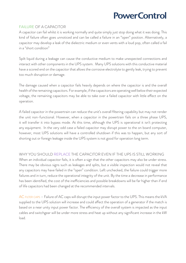### FAILURE OF A CAPACITOR

A capacitor can fail whilst it is working normally and quite simply just stop doing what it was doing. This kind of failure often goes unnoticed and can be called a failure in an "open" position. Alternatively, a capacitor may develop a leak of the dielectric medium or even vents with a loud pop, often called a fail in a "short condition"

Spilt liquid during a leakage can cause the conductive medium to make unexpected connections and interact with other components in the UPS system. Many UPS solutions with this conductive material have a scored end on the capacitor that allows the corrosive electrolyte to gently leak, trying to prevent too much disruption or damage.

The damage caused when a capacitor fails heavily depends on where the capacitor is and the overall health of the remaining capacitors. For example, if the capacitors are operating well below their expected voltage, the remaining capacitors may be able to take over a failed capacitor with little effect on the operation.

A failed capacitor in the powertrain can reduce the unit's overall filtering capability but may not render the unit non-functional. However, when a capacitor in the powertrain fails on a three phase UPS, it will transfer it into bypass mode. At this time, although the UPS is operational it isn't protecting any equipment. In the very odd case a failed capacitor may disrupt power to the on board computer, however, most UPS solutions will have a controlled shutdown if this was to happen, but any sort of shorting out or foreign leakage inside the UPS system is not good for operation long term.

### WHY YOU SHOULD REPLACE THE CAPACITOR EVEN IF THE UPS IS STILL WORKING

When an individual capacitor fails, it is often a sign that the other capacitors may also be under stress. There may be obvious signs such as leakages and splits, but a visible inspection would not reveal that any capacitors may have failed in the "open" condition. Left unchecked, the failure could trigger more failures and in turn, reduce the operational integrity of the unit. By the time a decrease in performance has been identified, the cost of the inefficiencies and possible breakdowns will be far higher than if end of life capacitors had been changed at the recommended intervals.

AC FILTER CAPS – Failure of AC caps will disrupt the input power factor to the UPS. This means the kVA supplied to the UPS solution will increase and could affect the operation of a generator if the match is based on a near unity input power factor. The efficiency of the overall system is impacted as the input cables and switchgear will be under more stress and heat up without any significant increase in the kW load.